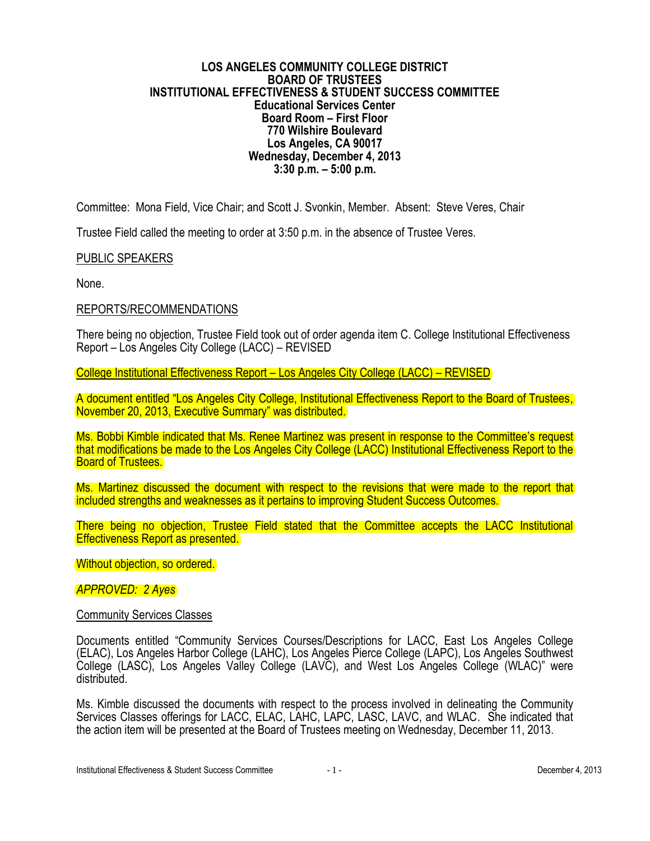#### **LOS ANGELES COMMUNITY COLLEGE DISTRICT BOARD OF TRUSTEES INSTITUTIONAL EFFECTIVENESS & STUDENT SUCCESS COMMITTEE Educational Services Center Board Room – First Floor 770 Wilshire Boulevard Los Angeles, CA 90017 Wednesday, December 4, 2013 3:30 p.m. – 5:00 p.m.**

Committee: Mona Field, Vice Chair; and Scott J. Svonkin, Member. Absent: Steve Veres, Chair

Trustee Field called the meeting to order at 3:50 p.m. in the absence of Trustee Veres.

### PUBLIC SPEAKERS

None.

### REPORTS/RECOMMENDATIONS

There being no objection, Trustee Field took out of order agenda item C. College Institutional Effectiveness Report – Los Angeles City College (LACC) – REVISED

College Institutional Effectiveness Report – Los Angeles City College (LACC) – REVISED

A document entitled "Los Angeles City College, Institutional Effectiveness Report to the Board of Trustees, November 20, 2013, Executive Summary" was distributed.

Ms. Bobbi Kimble indicated that Ms. Renee Martinez was present in response to the Committee's request that modifications be made to the Los Angeles City College (LACC) Institutional Effectiveness Report to the Board of Trustees.

Ms. Martinez discussed the document with respect to the revisions that were made to the report that included strengths and weaknesses as it pertains to improving Student Success Outcomes.

There being no objection, Trustee Field stated that the Committee accepts the LACC Institutional Effectiveness Report as presented.

Without objection, so ordered.

#### *APPROVED: 2 Ayes*

## Community Services Classes

Documents entitled "Community Services Courses/Descriptions for LACC, East Los Angeles College (ELAC), Los Angeles Harbor College (LAHC), Los Angeles Pierce College (LAPC), Los Angeles Southwest College (LASC), Los Angeles Valley College (LAVC), and West Los Angeles College (WLAC)" were distributed.

Ms. Kimble discussed the documents with respect to the process involved in delineating the Community Services Classes offerings for LACC, ELAC, LAHC, LAPC, LASC, LAVC, and WLAC. She indicated that the action item will be presented at the Board of Trustees meeting on Wednesday, December 11, 2013.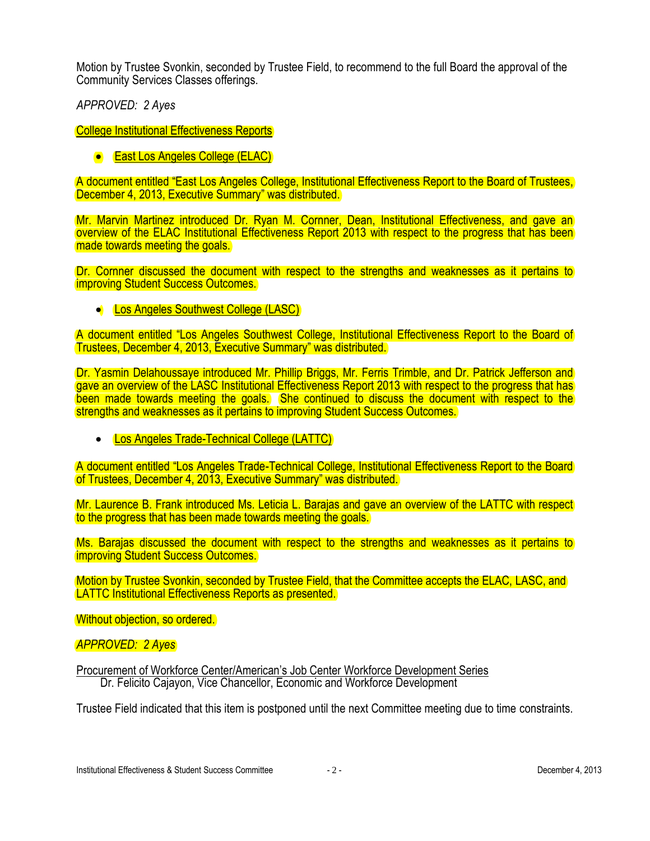Motion by Trustee Svonkin, seconded by Trustee Field, to recommend to the full Board the approval of the Community Services Classes offerings.

*APPROVED: 2 Ayes*

College Institutional Effectiveness Reports

**East Los Angeles College (ELAC)** 

A document entitled "East Los Angeles College, Institutional Effectiveness Report to the Board of Trustees, December 4, 2013, Executive Summary" was distributed.

Mr. Marvin Martinez introduced Dr. Ryan M. Cornner, Dean, Institutional Effectiveness, and gave an overview of the ELAC Institutional Effectiveness Report 2013 with respect to the progress that has been made towards meeting the goals.

Dr. Cornner discussed the document with respect to the strengths and weaknesses as it pertains to improving Student Success Outcomes.

**Los Angeles Southwest College (LASC)** 

A document entitled "Los Angeles Southwest College, Institutional Effectiveness Report to the Board of Trustees, December 4, 2013, Executive Summary" was distributed.

Dr. Yasmin Delahoussaye introduced Mr. Phillip Briggs, Mr. Ferris Trimble, and Dr. Patrick Jefferson and gave an overview of the LASC Institutional Effectiveness Report 2013 with respect to the progress that has been made towards meeting the goals. She continued to discuss the document with respect to the strengths and weaknesses as it pertains to improving Student Success Outcomes.

• Los Angeles Trade-Technical College (LATTC)

A document entitled "Los Angeles Trade-Technical College, Institutional Effectiveness Report to the Board of Trustees, December 4, 2013, Executive Summary" was distributed.

Mr. Laurence B. Frank introduced Ms. Leticia L. Barajas and gave an overview of the LATTC with respect to the progress that has been made towards meeting the goals.

Ms. Barajas discussed the document with respect to the strengths and weaknesses as it pertains to improving Student Success Outcomes.

Motion by Trustee Svonkin, seconded by Trustee Field, that the Committee accepts the ELAC, LASC, and LATTC Institutional Effectiveness Reports as presented.

Without objection, so ordered.

## *APPROVED: 2 Ayes*

Procurement of Workforce Center/American's Job Center Workforce Development Series Dr. Felicito Cajayon, Vice Chancellor, Economic and Workforce Development

Trustee Field indicated that this item is postponed until the next Committee meeting due to time constraints.